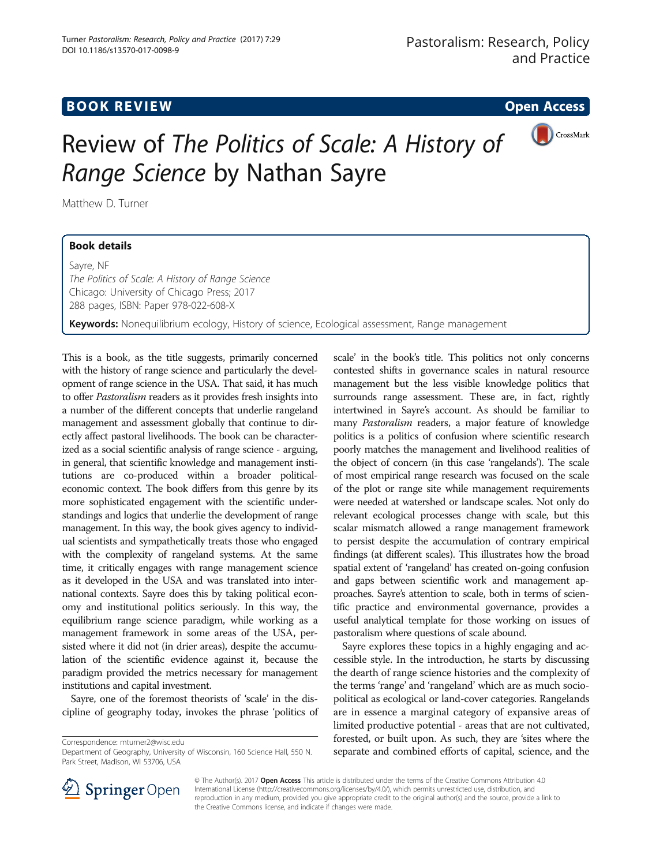## **BOOK REVIEW CONTROL** BOOK REVIEW

(Bullet) CrossMark

# Review of The Politics of Scale: A History of Range Science by Nathan Sayre

Matthew D. Turner

#### Book details

Sayre, NF Chicago: University of Chicago Press; 2017 288 pages, ISBN: Paper 978-022-608-X

Keywords: Nonequilibrium ecology, History of science, Ecological assessment, Range management

This is a book, as the title suggests, primarily concerned with the history of range science and particularly the development of range science in the USA. That said, it has much to offer Pastoralism readers as it provides fresh insights into a number of the different concepts that underlie rangeland management and assessment globally that continue to directly affect pastoral livelihoods. The book can be characterized as a social scientific analysis of range science - arguing, in general, that scientific knowledge and management institutions are co-produced within a broader politicaleconomic context. The book differs from this genre by its more sophisticated engagement with the scientific understandings and logics that underlie the development of range management. In this way, the book gives agency to individual scientists and sympathetically treats those who engaged with the complexity of rangeland systems. At the same time, it critically engages with range management science as it developed in the USA and was translated into international contexts. Sayre does this by taking political economy and institutional politics seriously. In this way, the equilibrium range science paradigm, while working as a management framework in some areas of the USA, persisted where it did not (in drier areas), despite the accumulation of the scientific evidence against it, because the paradigm provided the metrics necessary for management institutions and capital investment.

Sayre, one of the foremost theorists of 'scale' in the discipline of geography today, invokes the phrase 'politics of

Correspondence: [mturner2@wisc.edu](mailto:mturner2@wisc.edu)

scale' in the book's title. This politics not only concerns contested shifts in governance scales in natural resource management but the less visible knowledge politics that surrounds range assessment. These are, in fact, rightly intertwined in Sayre's account. As should be familiar to many Pastoralism readers, a major feature of knowledge politics is a politics of confusion where scientific research poorly matches the management and livelihood realities of the object of concern (in this case 'rangelands'). The scale of most empirical range research was focused on the scale of the plot or range site while management requirements were needed at watershed or landscape scales. Not only do relevant ecological processes change with scale, but this scalar mismatch allowed a range management framework to persist despite the accumulation of contrary empirical findings (at different scales). This illustrates how the broad spatial extent of 'rangeland' has created on-going confusion and gaps between scientific work and management approaches. Sayre's attention to scale, both in terms of scientific practice and environmental governance, provides a useful analytical template for those working on issues of pastoralism where questions of scale abound.

Sayre explores these topics in a highly engaging and accessible style. In the introduction, he starts by discussing the dearth of range science histories and the complexity of the terms 'range' and 'rangeland' which are as much sociopolitical as ecological or land-cover categories. Rangelands are in essence a marginal category of expansive areas of limited productive potential - areas that are not cultivated, forested, or built upon. As such, they are 'sites where the separate and combined efforts of capital, science, and the



© The Author(s). 2017 **Open Access** This article is distributed under the terms of the Creative Commons Attribution 4.0 International License ([http://creativecommons.org/licenses/by/4.0/\)](http://creativecommons.org/licenses/by/4.0/), which permits unrestricted use, distribution, and reproduction in any medium, provided you give appropriate credit to the original author(s) and the source, provide a link to the Creative Commons license, and indicate if changes were made.

Department of Geography, University of Wisconsin, 160 Science Hall, 550 N. Park Street, Madison, WI 53706, USA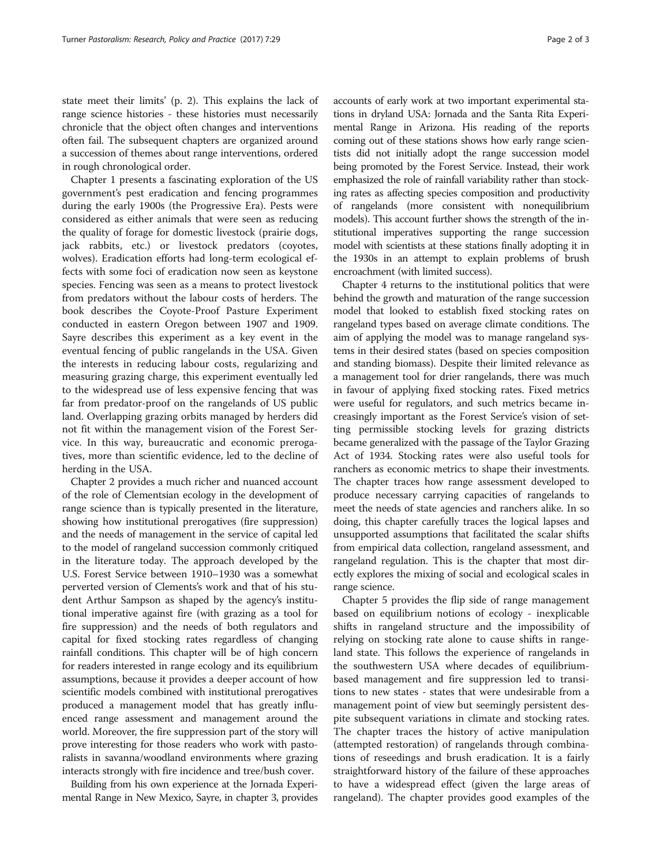state meet their limits' (p. 2). This explains the lack of range science histories - these histories must necessarily chronicle that the object often changes and interventions often fail. The subsequent chapters are organized around a succession of themes about range interventions, ordered in rough chronological order.

Chapter 1 presents a fascinating exploration of the US government's pest eradication and fencing programmes during the early 1900s (the Progressive Era). Pests were considered as either animals that were seen as reducing the quality of forage for domestic livestock (prairie dogs, jack rabbits, etc.) or livestock predators (coyotes, wolves). Eradication efforts had long-term ecological effects with some foci of eradication now seen as keystone species. Fencing was seen as a means to protect livestock from predators without the labour costs of herders. The book describes the Coyote-Proof Pasture Experiment conducted in eastern Oregon between 1907 and 1909. Sayre describes this experiment as a key event in the eventual fencing of public rangelands in the USA. Given the interests in reducing labour costs, regularizing and measuring grazing charge, this experiment eventually led to the widespread use of less expensive fencing that was far from predator-proof on the rangelands of US public land. Overlapping grazing orbits managed by herders did not fit within the management vision of the Forest Service. In this way, bureaucratic and economic prerogatives, more than scientific evidence, led to the decline of herding in the USA.

Chapter 2 provides a much richer and nuanced account of the role of Clementsian ecology in the development of range science than is typically presented in the literature, showing how institutional prerogatives (fire suppression) and the needs of management in the service of capital led to the model of rangeland succession commonly critiqued in the literature today. The approach developed by the U.S. Forest Service between 1910–1930 was a somewhat perverted version of Clements's work and that of his student Arthur Sampson as shaped by the agency's institutional imperative against fire (with grazing as a tool for fire suppression) and the needs of both regulators and capital for fixed stocking rates regardless of changing rainfall conditions. This chapter will be of high concern for readers interested in range ecology and its equilibrium assumptions, because it provides a deeper account of how scientific models combined with institutional prerogatives produced a management model that has greatly influenced range assessment and management around the world. Moreover, the fire suppression part of the story will prove interesting for those readers who work with pastoralists in savanna/woodland environments where grazing interacts strongly with fire incidence and tree/bush cover.

Building from his own experience at the Jornada Experimental Range in New Mexico, Sayre, in chapter 3, provides accounts of early work at two important experimental stations in dryland USA: Jornada and the Santa Rita Experimental Range in Arizona. His reading of the reports coming out of these stations shows how early range scientists did not initially adopt the range succession model being promoted by the Forest Service. Instead, their work emphasized the role of rainfall variability rather than stocking rates as affecting species composition and productivity of rangelands (more consistent with nonequilibrium models). This account further shows the strength of the institutional imperatives supporting the range succession model with scientists at these stations finally adopting it in the 1930s in an attempt to explain problems of brush encroachment (with limited success).

Chapter 4 returns to the institutional politics that were behind the growth and maturation of the range succession model that looked to establish fixed stocking rates on rangeland types based on average climate conditions. The aim of applying the model was to manage rangeland systems in their desired states (based on species composition and standing biomass). Despite their limited relevance as a management tool for drier rangelands, there was much in favour of applying fixed stocking rates. Fixed metrics were useful for regulators, and such metrics became increasingly important as the Forest Service's vision of setting permissible stocking levels for grazing districts became generalized with the passage of the Taylor Grazing Act of 1934. Stocking rates were also useful tools for ranchers as economic metrics to shape their investments. The chapter traces how range assessment developed to produce necessary carrying capacities of rangelands to meet the needs of state agencies and ranchers alike. In so doing, this chapter carefully traces the logical lapses and unsupported assumptions that facilitated the scalar shifts from empirical data collection, rangeland assessment, and rangeland regulation. This is the chapter that most directly explores the mixing of social and ecological scales in range science.

Chapter 5 provides the flip side of range management based on equilibrium notions of ecology - inexplicable shifts in rangeland structure and the impossibility of relying on stocking rate alone to cause shifts in rangeland state. This follows the experience of rangelands in the southwestern USA where decades of equilibriumbased management and fire suppression led to transitions to new states - states that were undesirable from a management point of view but seemingly persistent despite subsequent variations in climate and stocking rates. The chapter traces the history of active manipulation (attempted restoration) of rangelands through combinations of reseedings and brush eradication. It is a fairly straightforward history of the failure of these approaches to have a widespread effect (given the large areas of rangeland). The chapter provides good examples of the